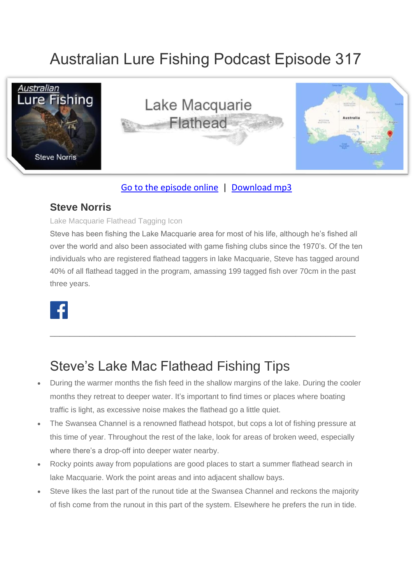# Australian Lure Fishing Podcast Episode 317



### [Go to the episode online](https://doclures.com/macquarie-flathead-steve-norris/) | [Download mp3](https://traffic.libsyn.com/secure/doclures/lake-macquaries-flathead-steve-norris.mp3)

### **Steve Norris**

#### Lake Macquarie Flathead Tagging Icon

Steve has been fishing the Lake Macquarie area for most of his life, although he's fished all over the world and also been associated with game fishing clubs since the 1970's. Of the ten individuals who are registered flathead taggers in lake Macquarie, Steve has tagged around 40% of all flathead tagged in the program, amassing 199 tagged fish over 70cm in the past three years.



## Steve's Lake Mac Flathead Fishing Tips

• During the warmer months the fish feed in the shallow margins of the lake. During the cooler months they retreat to deeper water. It's important to find times or places where boating traffic is light, as excessive noise makes the flathead go a little quiet.

\_\_\_\_\_\_\_\_\_\_\_\_\_\_\_\_\_\_\_\_\_\_\_\_\_\_\_\_\_\_\_\_\_\_\_\_\_\_\_\_\_\_\_\_\_\_\_\_\_\_\_\_\_\_\_\_\_\_\_\_\_

- The Swansea Channel is a renowned flathead hotspot, but cops a lot of fishing pressure at this time of year. Throughout the rest of the lake, look for areas of broken weed, especially where there's a drop-off into deeper water nearby.
- Rocky points away from populations are good places to start a summer flathead search in lake Macquarie. Work the point areas and into adjacent shallow bays.
- Steve likes the last part of the runout tide at the Swansea Channel and reckons the majority of fish come from the runout in this part of the system. Elsewhere he prefers the run in tide.